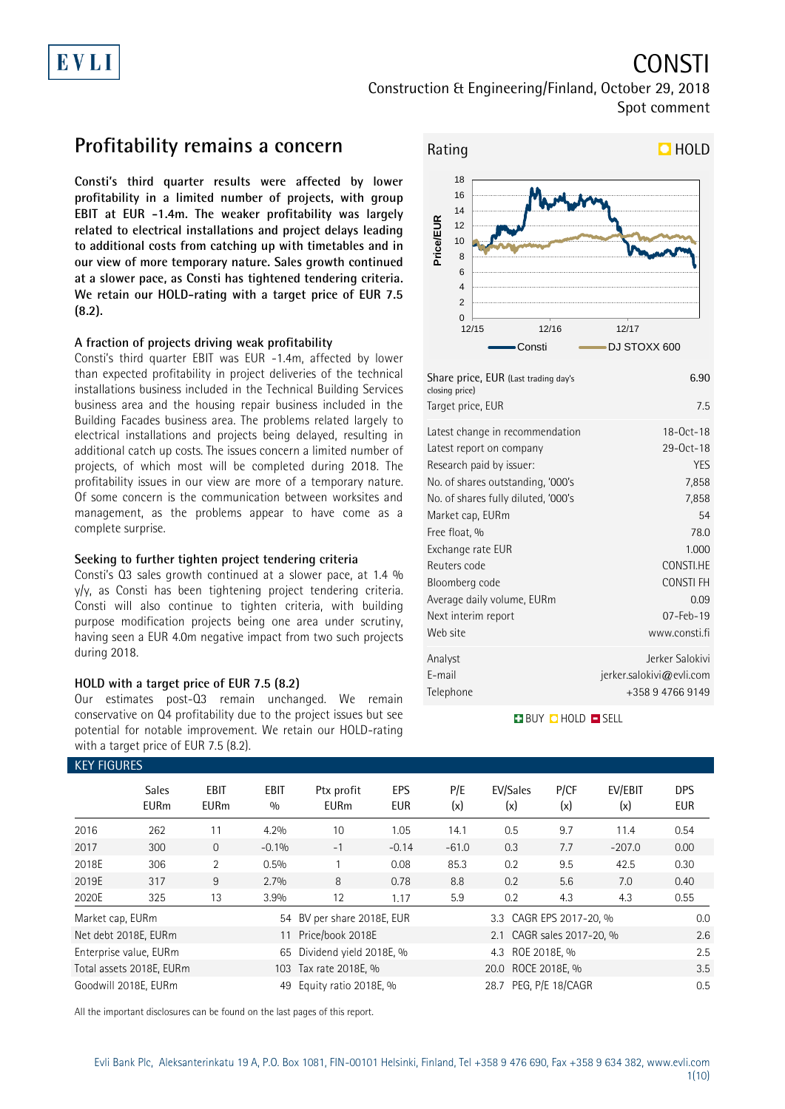# EVLI

# CONSTI

Construction & Engineering/Finland, October 29, 2018 Spot comment

### **Profitability remains a concern**

**Consti's third quarter results were affected by lower profitability in a limited number of projects, with group EBIT at EUR -1.4m. The weaker profitability was largely related to electrical installations and project delays leading to additional costs from catching up with timetables and in our view of more temporary nature. Sales growth continued at a slower pace, as Consti has tightened tendering criteria. We retain our HOLD-rating with a target price of EUR 7.5 (8.2).**

### **A fraction of projects driving weak profitability**

Consti's third quarter EBIT was EUR -1.4m, affected by lower than expected profitability in project deliveries of the technical installations business included in the Technical Building Services business area and the housing repair business included in the Building Facades business area. The problems related largely to electrical installations and projects being delayed, resulting in additional catch up costs. The issues concern a limited number of projects, of which most will be completed during 2018. The profitability issues in our view are more of a temporary nature. Of some concern is the communication between worksites and management, as the problems appear to have come as a complete surprise.

#### **Seeking to further tighten project tendering criteria**

Consti's Q3 sales growth continued at a slower pace, at 1.4 % y/y, as Consti has been tightening project tendering criteria. Consti will also continue to tighten criteria, with building purpose modification projects being one area under scrutiny, having seen a EUR 4.0m negative impact from two such projects during 2018.

### **HOLD with a target price of EUR 7.5 (8.2)**

Our estimates post-Q3 remain unchanged. We remain conservative on Q4 profitability due to the project issues but see potential for notable improvement. We retain our HOLD-rating with a target price of EUR 7.5 (8.2).



| Share price, EUR (Last trading day's<br>closing price) | 6.90                        |
|--------------------------------------------------------|-----------------------------|
| Target price, EUR                                      | 7.5                         |
| Latest change in recommendation                        | 18-Oct-18                   |
| Latest report on company                               | 29-0ct-18                   |
| Research paid by issuer:                               | YES                         |
| No. of shares outstanding, '000's                      | 7,858                       |
| No. of shares fully diluted, '000's                    | 7,858                       |
| Market cap, EURm                                       | 54                          |
| Free float, %                                          | 78.0                        |
| Exchange rate EUR                                      | 1.000                       |
| Reuters code                                           | CONSTI.HE                   |
| Bloomberg code                                         | <b>CONSTIFH</b>             |
| Average daily volume, EURm                             | 0.09                        |
| Next interim report                                    | $07 - Feb - 19$             |
| Web site                                               | www.consti.fi               |
| Analyst                                                | Jerker Salokivi             |
| E-mail                                                 | $j$ erker.salokivi@evli.com |
| Telephone                                              | +358 9 4766 9149            |

### **BUY QHOLD SELL**

| <b>KEY FIGURES</b> |                             |                     |             |                                                |                          |            |                           |             |                |                          |
|--------------------|-----------------------------|---------------------|-------------|------------------------------------------------|--------------------------|------------|---------------------------|-------------|----------------|--------------------------|
|                    | <b>Sales</b><br><b>EURm</b> | EBIT<br><b>EURm</b> | EBIT<br>0/0 | Ptx profit<br><b>EURm</b>                      | <b>EPS</b><br><b>EUR</b> | P/E<br>(x) | EV/Sales<br>(x)           | P/CF<br>(x) | EV/EBIT<br>(x) | <b>DPS</b><br><b>EUR</b> |
| 2016               | 262                         | 11                  | 4.2%        | 10                                             | 1.05                     | 14.1       | 0.5                       | 9.7         | 11.4           | 0.54                     |
| 2017               | 300                         | $\Omega$            | $-0.1%$     | $-1$                                           | $-0.14$                  | $-61.0$    | 0.3                       | 7.7         | $-207.0$       | 0.00                     |
| 2018E              | 306                         | 2                   | 0.5%        |                                                | 0.08                     | 85.3       | 0.2                       | 9.5         | 42.5           | 0.30                     |
| 2019E              | 317                         | 9                   | 2.7%        | 8                                              | 0.78                     | 8.8        | 0.2                       | 5.6         | 7.0            | 0.40                     |
| 2020E              | 325                         | 13                  | 3.9%        | 12                                             | 1.17                     | 5.9        | 0.2                       | 4.3         | 4.3            | 0.55                     |
| Market cap, EURm   |                             |                     |             | 54 BV per share 2018E, EUR                     |                          |            | 3.3 CAGR EPS 2017-20, %   |             |                | 0.0                      |
|                    | Net debt 2018E, EURm        |                     |             | 11 Price/book 2018E                            |                          |            | 2.1 CAGR sales 2017-20, % |             |                | 2.6                      |
|                    | Enterprise value, EURm      |                     |             | 65 Dividend yield 2018E, %<br>4.3 ROE 2018E, % |                          |            |                           | 2.5         |                |                          |
|                    | Total assets 2018E, EURm    |                     |             | 20.0 ROCE 2018E, %<br>103 Tax rate 2018E, %    |                          |            |                           |             |                | 3.5                      |
|                    | Goodwill 2018E, EURm        |                     | 49          | Equity ratio 2018E, %                          |                          |            | 28.7 PEG, P/E 18/CAGR     |             |                | 0.5                      |

All the important disclosures can be found on the last pages of this report.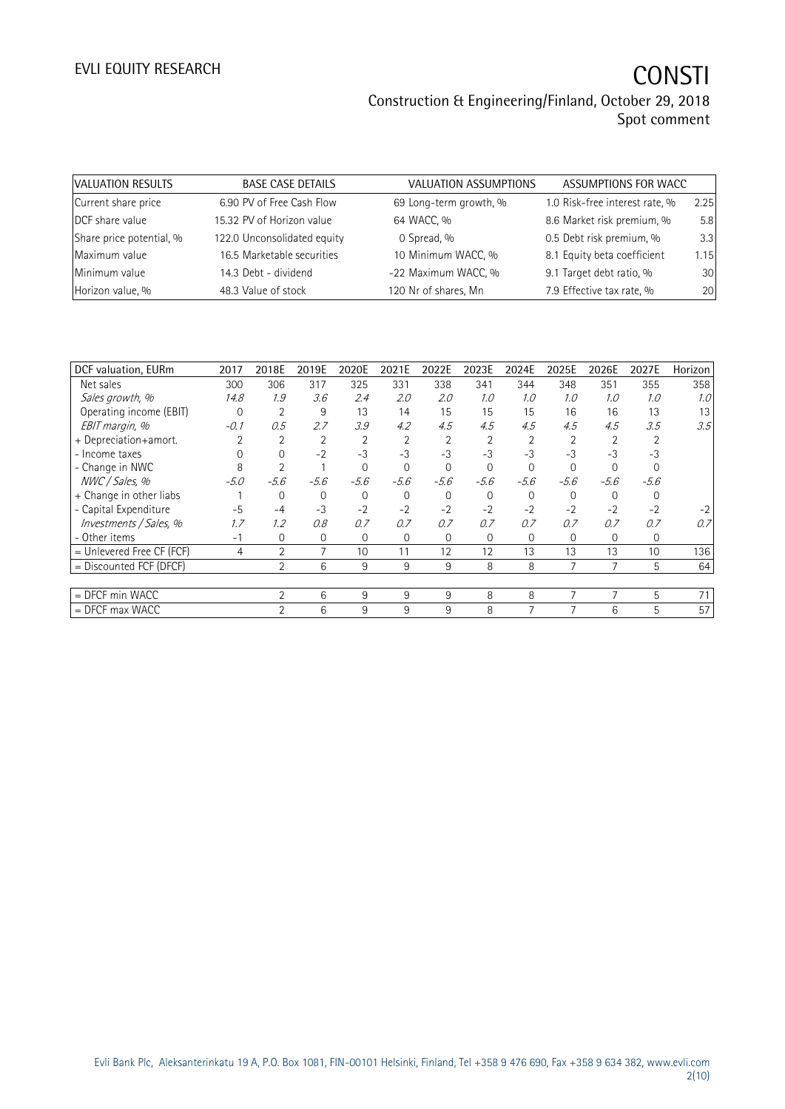| VALUATION RESULTS        | <b>BASE CASE DETAILS</b>    | VALUATION ASSUMPTIONS  | ASSUMPTIONS FOR WACC           |      |
|--------------------------|-----------------------------|------------------------|--------------------------------|------|
| Current share price      | 6.90 PV of Free Cash Flow   | 69 Long-term growth, % | 1.0 Risk-free interest rate, % | 2.25 |
| DCF share value          | 15.32 PV of Horizon value   | 64 WACC, %             | 8.6 Market risk premium, %     | 5.8  |
| Share price potential, % | 122.0 Unconsolidated equity | 0 Spread, %            | 0.5 Debt risk premium, %       | 3.3  |
| Maximum value            | 16.5 Marketable securities  | 10 Minimum WACC, %     | 8.1 Equity beta coefficient    | 1.15 |
| Minimum value            | 14.3 Debt - dividend        | -22 Maximum WACC, %    | 9.1 Target debt ratio, %       | 30   |
| Horizon value, %         | 48.3 Value of stock         | 120 Nr of shares, Mn   | 7.9 Effective tax rate, %      | 20   |

| DCF valuation, EURm         | 2017     | 2018E          | 2019E          | 2020E          | 2021E          | 2022E    | 2023E          | 2024E    | 2025E    | 2026E    | 2027E    | Horizon |
|-----------------------------|----------|----------------|----------------|----------------|----------------|----------|----------------|----------|----------|----------|----------|---------|
| Net sales                   | 300      | 306            | 317            | 325            | 331            | 338      | 341            | 344      | 348      | 351      | 355      | 358     |
| Sales growth, %             | 14.8     | 1.9            | 3.6            | 2.4            | 2.0            | 2.0      | 1.0            | 1.0      | 1.0      | 1.0      | 1.0      | 1.0     |
| Operating income (EBIT)     | $\Omega$ | $\overline{2}$ | 9              | 13             | 14             | 15       | 15             | 15       | 16       | 16       | 13       | 13      |
| EBIT margin, %              | $-0.1$   | 0.5            | 2.7            | 3.9            | 4.2            | 4.5      | 4.5            | 4.5      | 4.5      | 4.5      | 3.5      | 3.5     |
| + Depreciation+amort.       |          | 2              | $\overline{2}$ | $\overline{2}$ | $\overline{2}$ |          | $\overline{2}$ |          |          |          |          |         |
| - Income taxes              |          | $\Omega$       | $-2$           | $-3$           | $-3$           | $-3$     | $-3$           | $-3$     | $-3$     | $-3$     | $-3$     |         |
| - Change in NWC             | 8        |                |                | $\Omega$       | $\Omega$       | $\Omega$ | $\Omega$       | $\Omega$ | $\Omega$ | $\Omega$ |          |         |
| NWC / Sales, %              | $-5.0$   | $-5.6$         | $-5.6$         | $-5.6$         | $-5.6$         | $-5.6$   | $-5.6$         | $-5.6$   | $-5.6$   | $-5.6$   | $-5.6$   |         |
| + Change in other liabs     |          | 0              | $\Omega$       | $\Omega$       | $\Omega$       | $\Omega$ | $\Omega$       | $\Omega$ | $\Omega$ |          | $\Omega$ |         |
| - Capital Expenditure       | $-5$     | $-4$           | $-3$           | $-2$           | $-2$           | $-2$     | $-2$           | $-2$     | $-2$     | $-2$     | $-2$     |         |
| Investments / Sales, %      | 1.7      | 1.2            | 0.8            | 0.7            | 0.7            | 0.7      | 0.7            | 0.7      | 0.7      | 0.7      | 0.7      | 0.7     |
| - Other items               | $-1$     | 0              | 0              | 0              | $\mathbf{0}$   | $\Omega$ | $\mathbf{0}$   | $\Omega$ | 0        | 0        | 0        |         |
| $=$ Unlevered Free CF (FCF) | 4        | $\overline{2}$ |                | 10             | 11             | 12       | 12             | 13       | 13       | 13       | 10       | 136     |
| = Discounted FCF (DFCF)     |          | $\overline{2}$ | 6              | 9              | 9              | 9        | 8              | 8        |          |          | 5        | 64      |
|                             |          |                |                |                |                |          |                |          |          |          |          |         |
| $=$ DFCF min WACC           |          | $\overline{2}$ | 6              | 9              | 9              | 9        | 8              | 8        | 7        | 7        | 5        | 71      |
| $=$ DFCF max WACC           |          | $\overline{2}$ | 6              | 9              | 9              | 9        | 8              | 7        |          | 6        | 5        | 57      |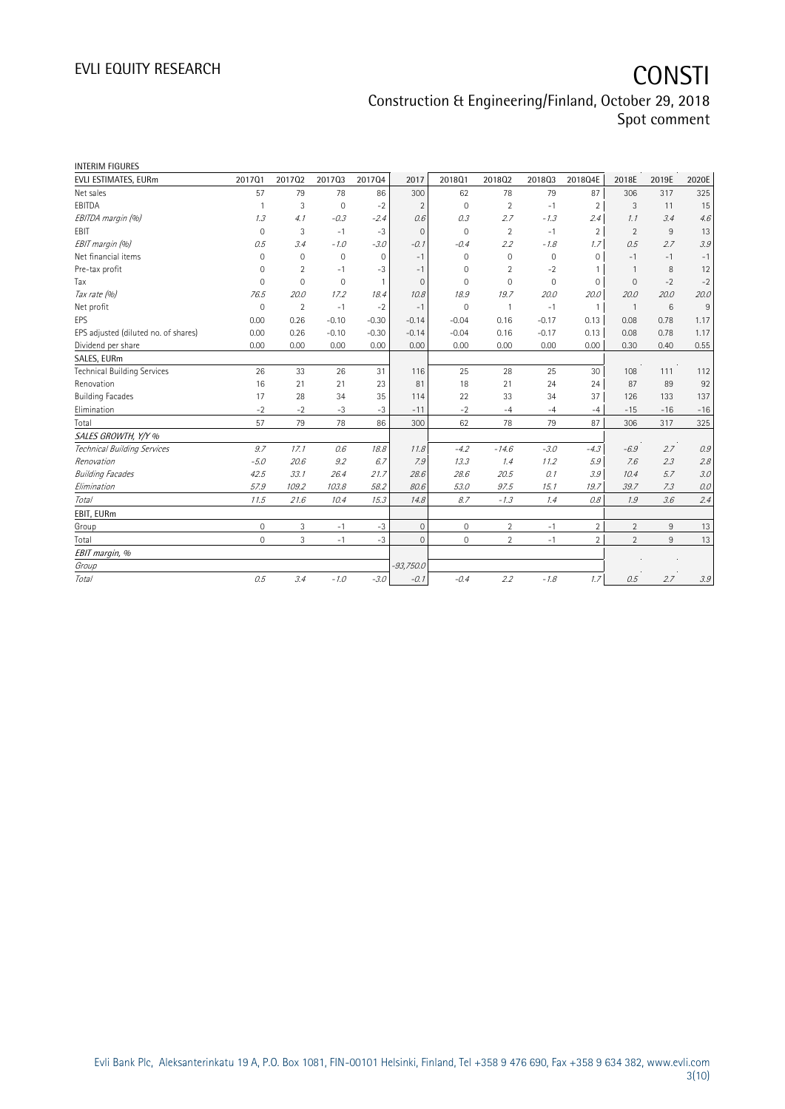| <b>INTERIM FIGURES</b>               |              |                |              |                |              |              |                |                     |                |                |       |                           |
|--------------------------------------|--------------|----------------|--------------|----------------|--------------|--------------|----------------|---------------------|----------------|----------------|-------|---------------------------|
| EVLI ESTIMATES, EURm                 | 201701       | 201702         | 201703       | 201704         | 2017         | 201801       | 201802         | 201803              | 2018Q4E        | 2018E          | 2019E | 2020E                     |
| Net sales                            | 57           | 79             | 78           | 86             | 300          | 62           | 78             | 79                  | 87             | 306            | 317   | 325                       |
| EBITDA                               | $\mathbf{1}$ | 3              | $\mathbf{0}$ | $-2$           | 2            | $\mathbf 0$  | 2              | $-1$                | $\overline{2}$ | 3              | 11    | 15                        |
| EBITDA margin (%)                    | 1.3          | 4.1            | $-0.3$       | $-2.4$         | 0.6          | 0.3          | 2.7            | $-1.3$              | 2.4            | 1.1            | 3.4   | 4.6                       |
| EBIT                                 | $\mathbf 0$  | 3              | $-1$         | $-3$           | $\mathbf{0}$ | $\mathbf 0$  | $\overline{2}$ | $-1$                | $\overline{2}$ | $\overline{2}$ | 9     | 13                        |
| EBIT margin (%)                      | 0.5          | 3.4            | $-1.0$       | $-3.0$         | $-0.1$       | $-0.4$       | 2.2            | $-1.8$              | 1.7            | 0.5            | 2.7   | 3.9                       |
| Net financial items                  | $\mathbf 0$  | $\mathbf 0$    | $\mathbf{0}$ | $\mathbf{0}$   | $-1$         | $\mathbf 0$  | $\mathbf{0}$   | $\mathsf{O}\xspace$ | $\mathbf 0$    | $-1$           | $-1$  | $-1$                      |
| Pre-tax profit                       | 0            | $\overline{2}$ | $-1$         | $-3$           | $-1$         | $\mathbf 0$  | $\overline{2}$ | $-2$                | $\overline{1}$ | $\overline{1}$ | 8     | 12                        |
| Tax                                  | $\mathbf 0$  | $\mathbf 0$    | $\mathbf{0}$ | $\overline{1}$ | $\mathbf{0}$ | $\Omega$     | $\mathbf{0}$   | $\mathbf 0$         | $\mathbf{0}$   | $\mathbf{0}$   | $-2$  | $-2$                      |
| Tax rate (%)                         | 76.5         | 20.0           | 17.2         | 18.4           | 10.8         | 18.9         | 19.7           | 20.0                | 20.0           | 20.0           | 20.0  | 20.0                      |
| Net profit                           | $\mathbf 0$  | $\overline{2}$ | $-1$         | $-2$           | $-1$         | $\mathbf 0$  | $\mathbf{1}$   | $-1$                | $\overline{1}$ | $\overline{1}$ | 6     | 9                         |
| EPS                                  | 0.00         | 0.26           | $-0.10$      | $-0.30$        | $-0.14$      | $-0.04$      | 0.16           | $-0.17$             | 0.13           | 0.08           | 0.78  | 1.17                      |
| EPS adjusted (diluted no. of shares) | 0.00         | 0.26           | $-0.10$      | $-0.30$        | $-0.14$      | $-0.04$      | 0.16           | $-0.17$             | 0.13           | 0.08           | 0.78  | 1.17                      |
| Dividend per share                   | 0.00         | 0.00           | 0.00         | 0.00           | 0.00         | 0.00         | 0.00           | 0.00                | 0.00           | 0.30           | 0.40  | 0.55                      |
| SALES, EURm                          |              |                |              |                |              |              |                |                     |                |                |       |                           |
| <b>Technical Building Services</b>   | 26           | 33             | 26           | 31             | 116          | 25           | 28             | 25                  | 30             | 108            | 111   | 112                       |
| Renovation                           | 16           | 21             | 21           | 23             | 81           | 18           | 21             | 24                  | 24             | 87             | 89    | 92                        |
| <b>Building Facades</b>              | 17           | 28             | 34           | 35             | 114          | 22           | 33             | 34                  | 37             | 126            | 133   | 137                       |
| Elimination                          | $-2$         | $-2$           | $-3$         | $-3$           | $-11$        | $-2$         | $-4$           | $-4$                | $-4$           | $-15$          | $-16$ | $-16$                     |
| Total                                | 57           | 79             | 78           | 86             | 300          | 62           | 78             | 79                  | 87             | 306            | 317   | 325                       |
| SALES GROWTH, Y/Y %                  |              |                |              |                |              |              |                |                     |                |                |       |                           |
| Technical Building Services          | 9.7          | 17.1           | 0.6          | 18.8           | 11.8         | $-4.2$       | $-14.6$        | $-3.0$              | $-4.3$         | $-6.9$         | 2.7   | 0.9                       |
| Renovation                           | $-5.0$       | 20.6           | 9.2          | 6.7            | 7.9          | 13.3         | 1.4            | 11.2                | 5.9            | 7.6            | 2.3   | 2.8                       |
| <b>Building Facades</b>              | 42.5         | 33.1           | 26.4         | 21.7           | 28.6         | 28.6         | 20.5           | 0.1                 | 3.9            | 10.4           | 5.7   | 3.0                       |
| Elimination                          | 57.9         | 109.2          | 103.8        | 58.2           | 80.6         | 53.0         | 97.5           | 15.1                | 19.7           | 39.7           | 7.3   | 0.0                       |
| Total                                | 11.5         | 21.6           | 10.4         | 15.3           | 14.8         | 8.7          | $-1.3$         | 1.4                 | 0.8            | 1.9            | 3.6   | 2.4                       |
| EBIT, EURm                           |              |                |              |                |              |              |                |                     |                |                |       |                           |
| Group                                | $\mathbf 0$  | $\overline{3}$ | $-1$         | $-3$           | $\mathbf{0}$ | $\mathbf{0}$ | $\overline{2}$ | $-1$                | $\overline{2}$ | $\overline{2}$ | 9     | 13                        |
| Total                                | $\mathbf 0$  | 3              | $-1$         | $-3$           | $\Omega$     | $\mathbf{0}$ | $\overline{2}$ | $-1$                | $\overline{2}$ | $\overline{2}$ | $9\,$ | 13                        |
| EBIT margin, %                       |              |                |              |                |              |              |                |                     |                |                |       |                           |
| Group                                |              |                |              |                | $-93,750.0$  |              |                |                     |                |                |       |                           |
| Total                                | 0.5          | 3.4            | $-1.0$       | $-3.0$         | $-0.1$       | $-0.4$       | 2.2            | $-1.8$              | 1.7            | 0.5            | 2.7   | $\mathcal{Z} \mathcal{Q}$ |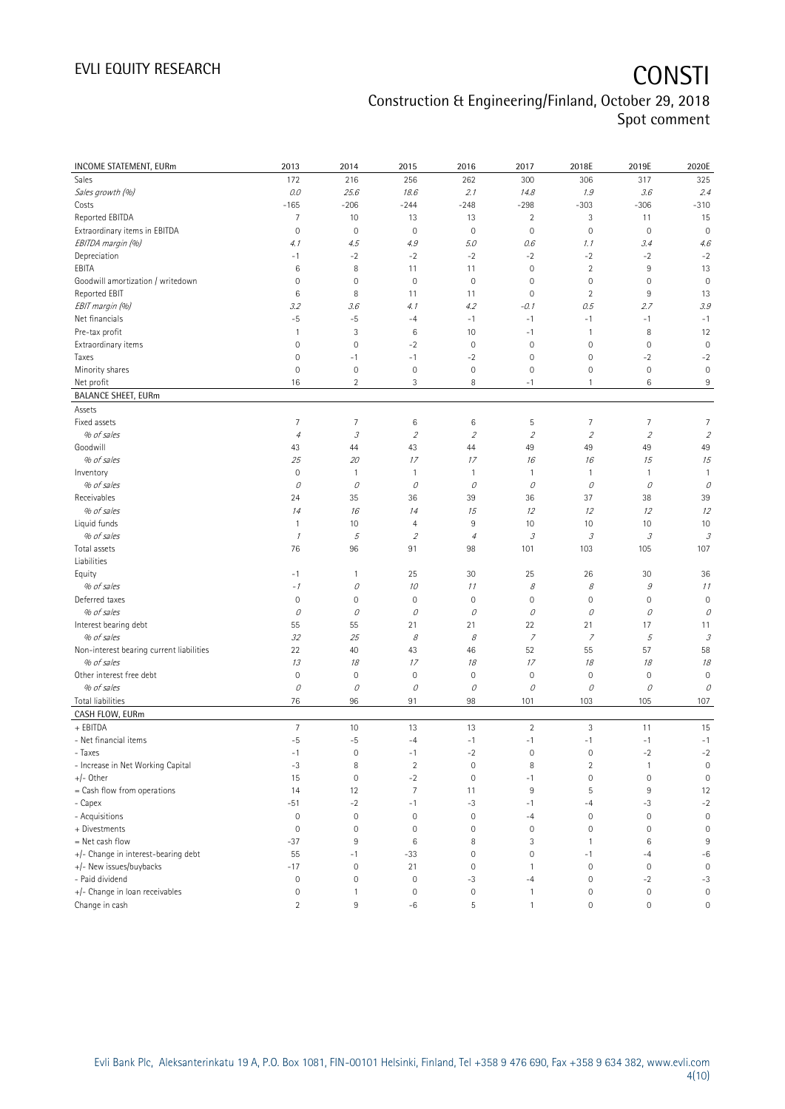# EVLI EQUITY RESEARCH **CONSTI**

## Construction & Engineering/Finland, October 29, 2018 Spot comment

| INCOME STATEMENT, EURm                   | 2013                | 2014                       | 2015                     | 2016           | 2017                       | 2018E                       | 2019E               | 2020E                       |
|------------------------------------------|---------------------|----------------------------|--------------------------|----------------|----------------------------|-----------------------------|---------------------|-----------------------------|
| Sales                                    | 172                 | 216                        | 256                      | 262            | 300                        | 306                         | 317                 | 325                         |
| Sales growth (%)                         | $0.0$               | 25.6                       | 18.6                     | 2.1            | 14.8                       | 1.9                         | 3.6                 | 2.4                         |
| Costs                                    | $-165$              | $-206$                     | $-244$                   | $-248$         | $-298$                     | $-303$                      | $-306$              | $-310$                      |
| Reported EBITDA                          | 7                   | 10                         | 13                       | 13             | $\overline{2}$             | 3                           | 11                  | 15                          |
| Extraordinary items in EBITDA            | $\mathbf 0$         | $\mathbf 0$                | $\mathbf 0$              | $\mathbf 0$    | $\mathbf 0$                | $\mathsf{O}\xspace$         | $\mathbf 0$         | $\mathbf 0$                 |
| EBITDA margin (%)                        | 4.1                 | 4.5                        | 4.9                      | 5.0            | 0.6                        | 1.1                         | 3.4                 | 4.6                         |
| Depreciation                             | $-1$                | $-2$                       | $-2$                     | $-2$           | $-2$                       | $-2$                        | $-2$                | $-2$                        |
| EBITA                                    | 6                   | 8                          | 11                       | 11             | $\mathbf 0$                | $\overline{2}$              | 9                   | 13                          |
| Goodwill amortization / writedown        | 0                   | $\mathsf{O}\xspace$        | $\mathbf 0$              | $\circ$        | $\mathbf 0$                | $\mathbb O$                 | 0                   | $\mathbf 0$                 |
| Reported EBIT                            | 6                   | 8                          | 11                       | 11             | $\mathbf 0$                | $\overline{2}$              | 9                   | 13                          |
| EBIT margin (%)                          | 3.2                 | 3.6                        | 4.1                      | 4.2            | $-0.1$                     | 0.5                         | 2.7                 | 3.9                         |
| Net financials                           | $-5$                | $-5$                       | $-4$                     | $-1$           | $-1$                       | $-1$                        | $-1$                | $-1$                        |
| Pre-tax profit                           | $\mathbf{1}$        | 3                          | $\,6$                    | 10             | $-1$                       | $\mathbf{1}$                | 8                   | 12                          |
| Extraordinary items                      | $\mathbf 0$         | $\mathbf 0$                | $-2$                     | $\circ$        | $\mathbf 0$                | $\mathbb O$                 | $\mathbf 0$         | $\mathbf 0$                 |
| Taxes                                    | $\mathbf 0$         | $-1$                       | $-1$                     | $-2$           | $\mathbf 0$                | $\mathsf{O}\xspace$         | $-2$                | $-2$                        |
| Minority shares                          | $\mathbf 0$         | $\mathbf 0$                | $\mathbf 0$              | $\mathbf 0$    | $\mathbf 0$                | $\mathsf{O}\xspace$         | $\mathbf 0$         | $\mathbf 0$                 |
| Net profit                               | 16                  | $\overline{2}$             | 3                        | 8              | $-1$                       | $\mathbf{1}$                | 6                   | 9                           |
| <b>BALANCE SHEET, EURm</b>               |                     |                            |                          |                |                            |                             |                     |                             |
| Assets                                   |                     |                            |                          |                |                            |                             |                     |                             |
| Fixed assets                             | 7                   | 7                          | $\,6$                    | $\,6$          | 5                          | 7                           | 7                   | 7                           |
| % of sales                               | $\overline{4}$      | $\ensuremath{\mathcal{S}}$ | $\overline{2}$           | $\mathfrak z$  | $\overline{2}$             | $\overline{2}$              | $\mathfrak z$       | $\sqrt{2}$                  |
| Goodwill                                 | 43                  | 44                         | 43                       | 44             | 49                         | 49                          | 49                  | 49                          |
| % of sales                               | 25                  | 20                         | 17                       | 17             | 16                         | 16                          | 15                  | 15                          |
| Inventory                                | $\mathbf 0$         | $\mathbf{1}$               | $\mathbf{1}$             | $\mathbf{1}$   | $\mathbf{1}$               | $\mathbf{1}$                | 1                   | $\mathbf{1}$                |
| % of sales                               | 0                   | 0                          | 0                        | 0              | 0                          | 0                           | 0                   | 0                           |
| Receivables                              | 24                  | 35                         | 36                       | 39             | 36                         | 37                          | 38                  | 39                          |
| % of sales                               | 14                  | 16                         | 14                       | 15             | 12                         | 12                          | 12                  | 12                          |
| Liquid funds                             | $\mathbf{1}$        | 10                         | 4                        | 9              | 10                         | 10                          | 10                  | 10                          |
| % of sales                               | $\mathcal I$        | 5                          | $\overline{\mathcal{L}}$ | $\overline{4}$ | $\ensuremath{\mathcal{S}}$ | $\mathcal{S}_{\mathcal{S}}$ | 3                   | $\mathcal{S}_{\mathcal{S}}$ |
| Total assets                             | 76                  | 96                         | 91                       | 98             | 101                        | 103                         | 105                 | 107                         |
| Liabilities                              |                     |                            |                          |                |                            |                             |                     |                             |
| Equity                                   | $-1$                | 1                          | 25                       | 30             | 25                         | 26                          | 30                  | 36                          |
| % of sales                               | $-1$                | 0                          | 10                       | 11             | 8                          | 8                           | $\mathcal G$        | 11                          |
| Deferred taxes                           | $\mathbf 0$         | $\mathbf 0$                | $\mathbf 0$              | $\circ$        | $\mathbf 0$                | $\mathsf{O}\xspace$         | $\mathbf 0$         | $\mathsf{O}\xspace$         |
| % of sales                               | 0                   | 0                          | 0                        | 0              | 0                          | 0                           | 0                   | 0                           |
| Interest bearing debt                    | 55                  | 55                         | 21                       | 21             | 22                         | 21                          | 17                  | 11                          |
| % of sales                               | 32                  | 25                         | 8                        | 8              | $\overline{z}$             | $\overline{z}$              | 5                   | $\ensuremath{\mathcal{S}}$  |
| Non-interest bearing current liabilities | 22                  | 40                         | 43                       | 46             | 52                         | 55                          | 57                  | 58                          |
| % of sales                               | 13                  | 18                         | 17                       | 18             | 17                         | 18                          | 18                  | 18                          |
| Other interest free debt                 | $\mathbf 0$         | $\mathbf 0$                | $\mathsf{O}\xspace$      | $\circ$        | $\mathbf 0$                | $\mathsf{O}\xspace$         | $\mathbf 0$         | $\mathbf 0$                 |
| % of sales                               | $\mathcal O$        | 0                          | 0                        | 0              | 0                          | $\mathcal O$                | О                   | 0                           |
| <b>Total liabilities</b>                 | 76                  | 96                         | 91                       | 98             | 101                        | 103                         | 105                 | 107                         |
| CASH FLOW, EURm                          |                     |                            |                          |                |                            |                             |                     |                             |
| + EBITDA                                 | $\overline{7}$      | 10                         | 13                       | 13             | $\overline{c}$             | $\sqrt{3}$                  | 11                  | 15                          |
| - Net financial items                    | $-5$                | $^{\rm -5}$                | $-4$                     | $^{\rm -1}$    | $^{\rm -1}$                | $-1$                        | $-1$                | $-1$                        |
| - Taxes                                  | $-1$                | $\mathbf 0$                | $^{\rm -1}$              | $-2$           | $\mathbf 0$                | $\mathsf{O}\xspace$         | $-2$                | $-2$                        |
| - Increase in Net Working Capital        | $-3$                | 8                          | $\overline{2}$           | $\mathbf 0$    | 8                          | $\overline{2}$              | $\mathbf{1}$        | $\mathsf{O}\xspace$         |
| $+/-$ Other                              | 15                  | $\mathsf{O}\xspace$        | $-2$                     | $\circ$        | $-1$                       | $\mathsf{O}\xspace$         | $\mathbf 0$         | $\mathsf{O}\xspace$         |
| = Cash flow from operations              | 14                  | 12                         | $\overline{7}$           | 11             | 9                          | $\sqrt{5}$                  | 9                   | 12                          |
| - Capex                                  | $-51$               | $-2$                       | $-1$                     | $-3$           | $-1$                       | -4                          | $-3$                | $-2$                        |
| - Acquisitions                           | $\mathbb O$         | $\mathbf 0$                | $\mathbf 0$              | $\mathbf 0$    | $-4$                       | $\mathbb O$                 | $\mathbf 0$         | $\mathbf 0$                 |
| + Divestments                            | $\mathbf 0$         | $\mathbf 0$                | $\mathsf{O}\xspace$      | $\mathbf 0$    | $\mathbf 0$                | $\mathsf{O}\xspace$         | $\mathbf 0$         | $\mathsf{O}\xspace$         |
| = Net cash flow                          | $-37$               | 9                          | $\,6\,$                  | 8              | 3                          | $\mathbf{1}$                | 6                   | 9                           |
| +/- Change in interest-bearing debt      | 55                  | $-1$                       | $-33$                    | $\mathbf 0$    | $\mathsf{O}\xspace$        | $-1$                        | $-4$                | $-6$                        |
| +/- New issues/buybacks                  | $-17$               | $\mathbf 0$                | 21                       | $\circ$        | $\mathbf{1}$               | $\mathbf 0$                 | $\mathbf 0$         | $\mathbf 0$                 |
| - Paid dividend                          | $\mathbb O$         | $\mathbf 0$                | $\mathsf{O}\xspace$      | $-3$           | $-4$                       | $\mathsf{O}\xspace$         | $-2$                | $-3$                        |
| +/- Change in loan receivables           | $\mathsf{O}\xspace$ | $\mathbf{1}$               | $\mathsf{O}\xspace$      | $\circ$        | $\mathbf{1}$               | $\mathbb O$                 | $\mathsf{O}\xspace$ | $\mathsf{O}\xspace$         |
| Change in cash                           | $\overline{2}$      | 9                          | $-6$                     | 5              | $\mathbf{1}$               | $\mathbb O$                 | $\mathsf{O}\xspace$ | 0                           |
|                                          |                     |                            |                          |                |                            |                             |                     |                             |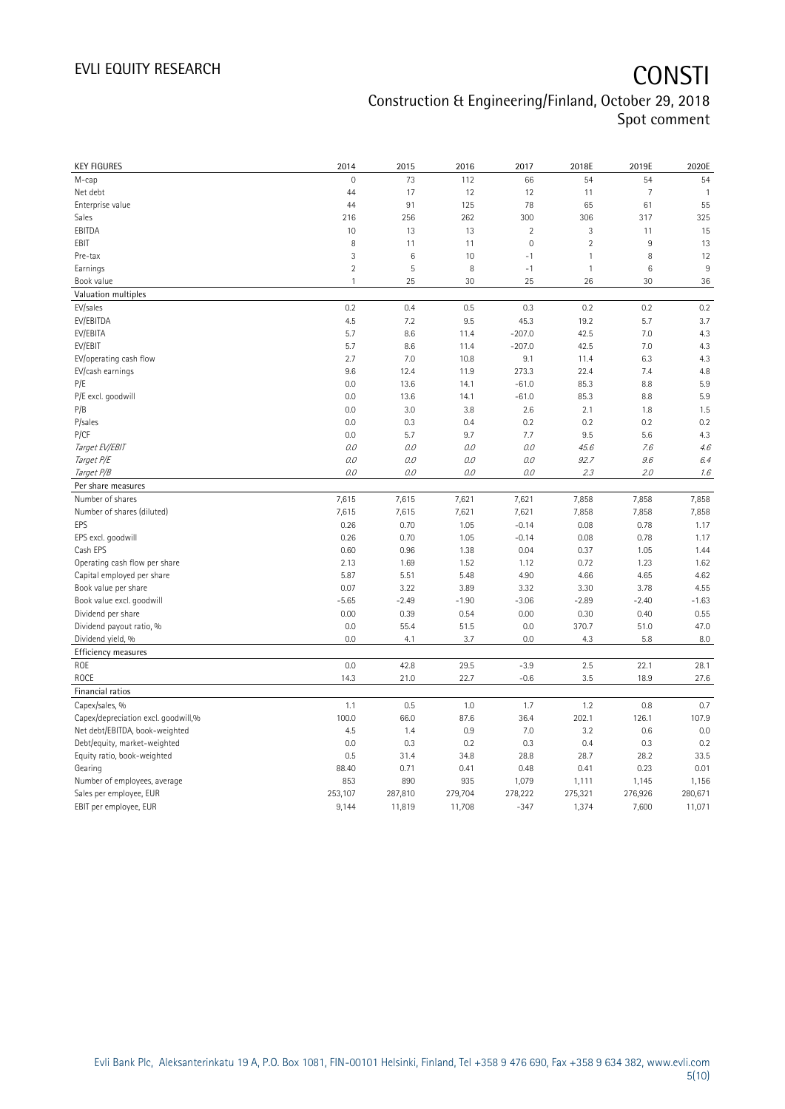| <b>KEY FIGURES</b>                  | 2014            | 2015            | 2016    | 2017           | 2018E         | 2019E          | 2020E          |
|-------------------------------------|-----------------|-----------------|---------|----------------|---------------|----------------|----------------|
| М-сар                               | $\mathbf 0$     | 73              | 112     | 66             | 54            | 54             | 54             |
| Net debt                            | 44              | 17              | 12      | 12             | 11            | $\overline{7}$ | $\overline{1}$ |
| Enterprise value                    | 44              | 91              | 125     | 78             | 65            | 61             | 55             |
| Sales                               | 216             | 256             | 262     | 300            | 306           | 317            | 325            |
| EBITDA                              | 10              | 13              | 13      | $\overline{c}$ | 3             | 11             | 15             |
| EBIT                                | 8               | 11              | 11      | 0              | $\sqrt{2}$    | 9              | 13             |
| Pre-tax                             | 3               | $6\phantom{1}6$ | 10      | $-1$           | $\mathbf{1}$  | 8              | 12             |
| Earnings                            | $\overline{2}$  | $\overline{5}$  | $\, 8$  | $-1$           | $\mathbf{1}$  | 6              | $9\,$          |
| Book value                          | $\mathbf{1}$    | 25              | 30      | 25             | 26            | 30             | 36             |
| Valuation multiples                 |                 |                 |         |                |               |                |                |
| EV/sales                            | 0.2             | 0.4             | 0.5     | 0.3            | 0.2           | 0.2            | 0.2            |
| EV/EBITDA                           | 4.5             | 7.2             | 9.5     | 45.3           | 19.2          | 5.7            | 3.7            |
| EV/EBITA                            | 5.7             | 8.6             | 11.4    | $-207.0$       | 42.5          | 7.0            | 4.3            |
| EV/EBIT                             | 5.7             | 8.6             | 11.4    | $-207.0$       | 42.5          | 7.0            | 4.3            |
| EV/operating cash flow              | 2.7             | 7.0             | 10.8    | 9.1            | 11.4          | 6.3            | 4.3            |
| EV/cash earnings                    | 9.6             | 12.4            | 11.9    | 273.3          | 22.4          | 7.4            | 4.8            |
| P/E                                 | 0.0             | 13.6            | 14.1    | $-61.0$        | 85.3          | 8.8            | 5.9            |
| P/E excl. goodwill                  | 0.0             | 13.6            | 14.1    | $-61.0$        | 85.3          | 8.8            | 5.9            |
| P/B                                 | 0.0             | 3.0             | 3.8     | 2.6            | 2.1           | 1.8            | 1.5            |
| P/sales                             | 0.0             | 0.3             | 0.4     | 0.2            | 0.2           | 0.2            | 0.2            |
| P/CF                                | 0.0             | 5.7             | 9.7     | 7.7            | 9.5           | 5.6            | 4.3            |
| Target EV/EBIT                      | O.O             | 0.0             | 0.0     | 0.0            | 45.6          | 7.6            | 4.6            |
| Target P/E                          | O.O             | 0.0             | 0.0     | 0.0            | 92.7          | 9.6            | 6.4            |
| Target P/B                          | $0.0$           | 0.0             | 0.0     | 0.0            | 2.3           | 2.0            | 1.6            |
| Per share measures                  |                 |                 |         |                |               |                |                |
| Number of shares                    | 7,615           | 7,615           | 7,621   | 7,621          | 7,858         | 7,858          | 7,858          |
| Number of shares (diluted)          | 7,615           | 7,615           | 7,621   | 7,621          | 7,858         | 7,858          | 7,858          |
| EPS                                 | 0.26            | 0.70            | 1.05    | $-0.14$        | 0.08          | 0.78           | 1.17           |
| EPS excl. goodwill                  | 0.26            | 0.70            | 1.05    | $-0.14$        | 0.08          | 0.78           | 1.17           |
| Cash EPS                            | 0.60            | 0.96            | 1.38    | 0.04           | 0.37          | 1.05           | 1.44           |
| Operating cash flow per share       | 2.13            | 1.69            | 1.52    | 1.12           | 0.72          | 1.23           | 1.62           |
| Capital employed per share          | 5.87            | 5.51            | 5.48    | 4.90           | 4.66          | 4.65           | 4.62           |
|                                     | 0.07            | 3.22            | 3.89    | 3.32           | 3.30          | 3.78           | 4.55           |
| Book value per share                |                 |                 |         |                | $-2.89$       | $-2.40$        |                |
| Book value excl. goodwill           | $-5.65$<br>0.00 | $-2.49$         | $-1.90$ | $-3.06$        |               |                | $-1.63$        |
| Dividend per share                  | 0.0             | 0.39<br>55.4    | 0.54    | 0.00<br>0.0    | 0.30<br>370.7 | 0.40           | 0.55<br>47.0   |
| Dividend payout ratio, %            |                 |                 | 51.5    |                |               | 51.0           |                |
| Dividend yield, %                   | 0.0             | 4.1             | 3.7     | 0.0            | 4.3           | 5.8            | 8.0            |
| Efficiency measures                 |                 |                 |         |                |               |                |                |
| <b>ROE</b>                          | 0.0             | 42.8            | 29.5    | $-3.9$         | 2.5           | 22.1           | 28.1           |
| <b>ROCE</b>                         | 14.3            | 21.0            | 22.7    | $-0.6$         | 3.5           | 18.9           | 27.6           |
| Financial ratios                    |                 |                 |         |                |               |                |                |
| Capex/sales, %                      | 1.1             | 0.5             | 1.0     | 1.7            | 1.2           | 0.8            | 0.7            |
| Capex/depreciation excl. goodwill,% | 100.0           | 66.0            | 87.6    | 36.4           | 202.1         | 126.1          | 107.9          |
| Net debt/EBITDA, book-weighted      | 4.5             | 1.4             | 0.9     | 7.0            | 3.2           | 0.6            | 0.0            |
| Debt/equity, market-weighted        | 0.0             | 0.3             | 0.2     | 0.3            | 0.4           | 0.3            | 0.2            |
| Equity ratio, book-weighted         | 0.5             | 31.4            | 34.8    | 28.8           | 28.7          | 28.2           | 33.5           |
| Gearing                             | 88.40           | 0.71            | 0.41    | 0.48           | 0.41          | 0.23           | 0.01           |
| Number of employees, average        | 853             | 890             | 935     | 1,079          | 1,111         | 1,145          | 1,156          |
| Sales per employee, EUR             | 253,107         | 287,810         | 279,704 | 278,222        | 275,321       | 276,926        | 280,671        |
| EBIT per employee, EUR              | 9,144           | 11,819          | 11,708  | $-347$         | 1,374         | 7,600          | 11,071         |
|                                     |                 |                 |         |                |               |                |                |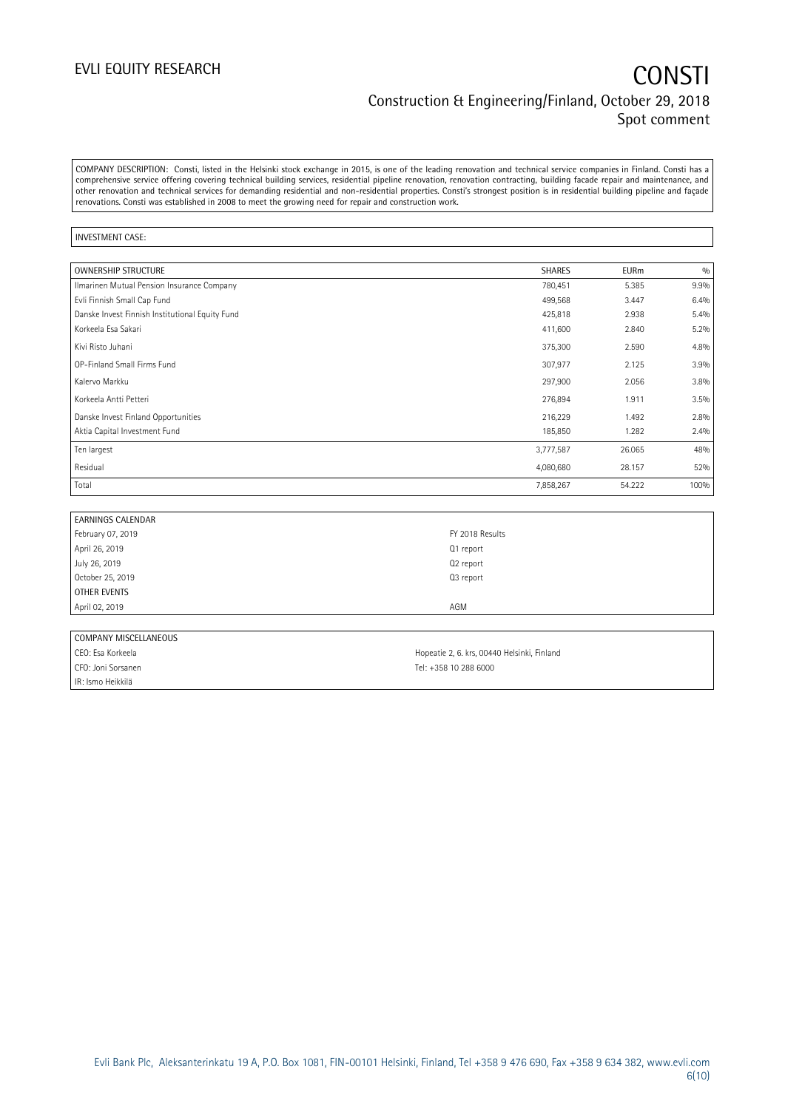COMPANY DESCRIPTION: Consti, listed in the Helsinki stock exchange in 2015, is one of the leading renovation and technical service companies in Finland. Consti has a comprehensive service offering covering technical building services, residential pipeline renovation, renovation contracting, building facade repair and maintenance, and other renovation and technical services for demanding residential and non-residential properties. Consti's strongest position is in residential building pipeline and façade renovations. Consti was established in 2008 to meet the growing need for repair and construction work.

#### INVESTMENT CASE:

| <b>OWNERSHIP STRUCTURE</b>                      | <b>SHARES</b> | <b>EURm</b> | 0/0  |
|-------------------------------------------------|---------------|-------------|------|
| Ilmarinen Mutual Pension Insurance Company      | 780,451       | 5.385       | 9.9% |
| Evli Finnish Small Cap Fund                     | 499,568       | 3.447       | 6.4% |
| Danske Invest Finnish Institutional Equity Fund | 425,818       | 2.938       | 5.4% |
| Korkeela Esa Sakari                             | 411,600       | 2.840       | 5.2% |
| Kivi Risto Juhani                               | 375,300       | 2.590       | 4.8% |
| OP-Finland Small Firms Fund                     | 307,977       | 2.125       | 3.9% |
| Kalervo Markku                                  | 297,900       | 2.056       | 3.8% |
| Korkeela Antti Petteri                          | 276,894       | 1.911       | 3.5% |
| Danske Invest Finland Opportunities             | 216,229       | 1.492       | 2.8% |
| Aktia Capital Investment Fund                   | 185,850       | 1.282       | 2.4% |
| Ten largest                                     | 3,777,587     | 26.065      | 48%  |
| Residual                                        | 4,080,680     | 28.157      | 52%  |
| Total                                           | 7,858,267     | 54.222      | 100% |

| <b>EARNINGS CALENDAR</b> |                 |
|--------------------------|-----------------|
| February 07, 2019        | FY 2018 Results |
| April 26, 2019           | Q1 report       |
| July 26, 2019            | Q2 report       |
| October 25, 2019         | Q3 report       |
| OTHER EVENTS             |                 |
| April 02, 2019           | AGM             |
|                          |                 |

| COMPANY MISCELLANEOUS |                                             |
|-----------------------|---------------------------------------------|
| CEO: Esa Korkeela     | Hopeatie 2, 6. krs, 00440 Helsinki, Finland |
| CFO: Joni Sorsanen    | Tel: +358 10 288 6000                       |
| IR: Ismo Heikkilä     |                                             |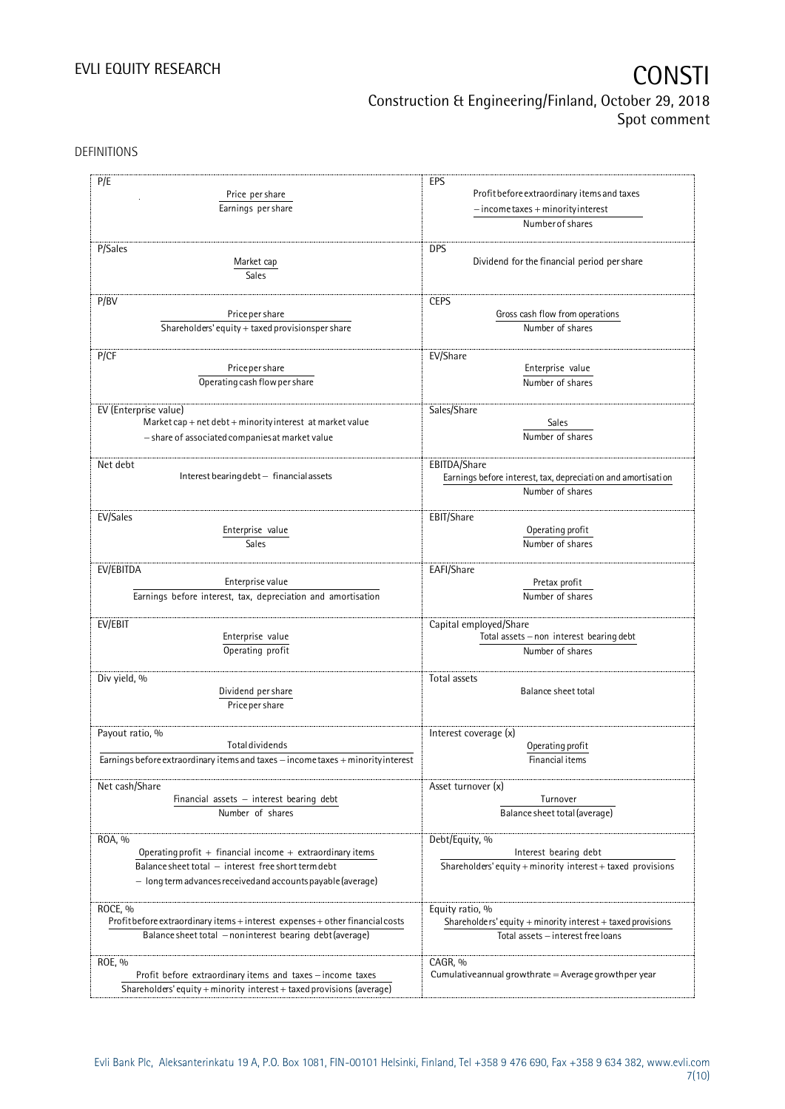DEFINITIONS

| P/E<br>Price per share<br>Earnings per share                                                                                          | EPS<br>Profit before extraordinary items and taxes<br>$-$ income taxes + minority interest       |
|---------------------------------------------------------------------------------------------------------------------------------------|--------------------------------------------------------------------------------------------------|
|                                                                                                                                       | Number of shares                                                                                 |
| P/Sales<br>Market cap<br>Sales                                                                                                        | <b>DPS</b><br>Dividend for the financial period per share                                        |
| P/BV                                                                                                                                  | <b>CEPS</b>                                                                                      |
| Price per share                                                                                                                       | Gross cash flow from operations                                                                  |
| Shareholders' equity + taxed provisionsper share                                                                                      | Number of shares                                                                                 |
|                                                                                                                                       |                                                                                                  |
| P/CF<br>Price per share                                                                                                               | EV/Share<br>Enterprise value                                                                     |
| Operating cash flow per share                                                                                                         | Number of shares                                                                                 |
| EV (Enterprise value)<br>Market cap + net debt + minority interest at market value<br>- share of associated companies at market value | Sales/Share<br>Sales<br>Number of shares                                                         |
| Net debt<br>Interest bearing debt - financial assets                                                                                  | EBITDA/Share<br>Earnings before interest, tax, depreciation and amortisation<br>Number of shares |
|                                                                                                                                       |                                                                                                  |
| EV/Sales                                                                                                                              | EBIT/Share<br>Operating profit                                                                   |
| Enterprise value<br>Sales                                                                                                             | Number of shares                                                                                 |
|                                                                                                                                       |                                                                                                  |
| EV/EBITDA                                                                                                                             | EAFI/Share                                                                                       |
| Enterprise value                                                                                                                      | Pretax profit                                                                                    |
| Earnings before interest, tax, depreciation and amortisation                                                                          | Number of shares                                                                                 |
| EV/EBIT                                                                                                                               | Capital employed/Share                                                                           |
| Enterprise value                                                                                                                      | Total assets - non interest bearing debt                                                         |
| Operating profit                                                                                                                      | Number of shares                                                                                 |
|                                                                                                                                       |                                                                                                  |
| Div yield, %                                                                                                                          | Total assets                                                                                     |
| Dividend per share<br>Price per share                                                                                                 | <b>Balance sheet total</b>                                                                       |
| Payout ratio, %                                                                                                                       | Interest coverage (x)                                                                            |
| <b>Total dividends</b>                                                                                                                | Operating profit                                                                                 |
| Earnings before extraordinary items and taxes - income taxes + minority interest                                                      | Financial items                                                                                  |
|                                                                                                                                       |                                                                                                  |
| Net cash/Share<br>Financial assets $-$ interest bearing debt                                                                          | Asset turnover (x)<br>Turnover                                                                   |
| Number of shares                                                                                                                      | Balance sheet total (average)                                                                    |
| ROA, %                                                                                                                                | Debt/Equity, %                                                                                   |
| Operating profit $+$ financial income $+$ extraordinary items                                                                         | Interest bearing debt                                                                            |
| Balance sheet total - interest free short term debt                                                                                   | Shareholders' equity + minority interest + taxed provisions                                      |
| - long term advances received and accounts payable (average)                                                                          |                                                                                                  |
| ROCE, %                                                                                                                               | Equity ratio, %                                                                                  |
| Profit before extraordinary items + interest expenses + other financial costs                                                         | Shareholders' equity $+$ minority interest $+$ taxed provisions                                  |
| Balance sheet total - noninterest bearing debt (average)                                                                              | Total assets - interest free loans                                                               |
| ROE, %                                                                                                                                | CAGR, %                                                                                          |
| Profit before extraordinary items and taxes - income taxes                                                                            | Cumulative annual growthrate $=$ Average growthper year                                          |
| Shareholders' equity + minority interest + taxed provisions (average)                                                                 |                                                                                                  |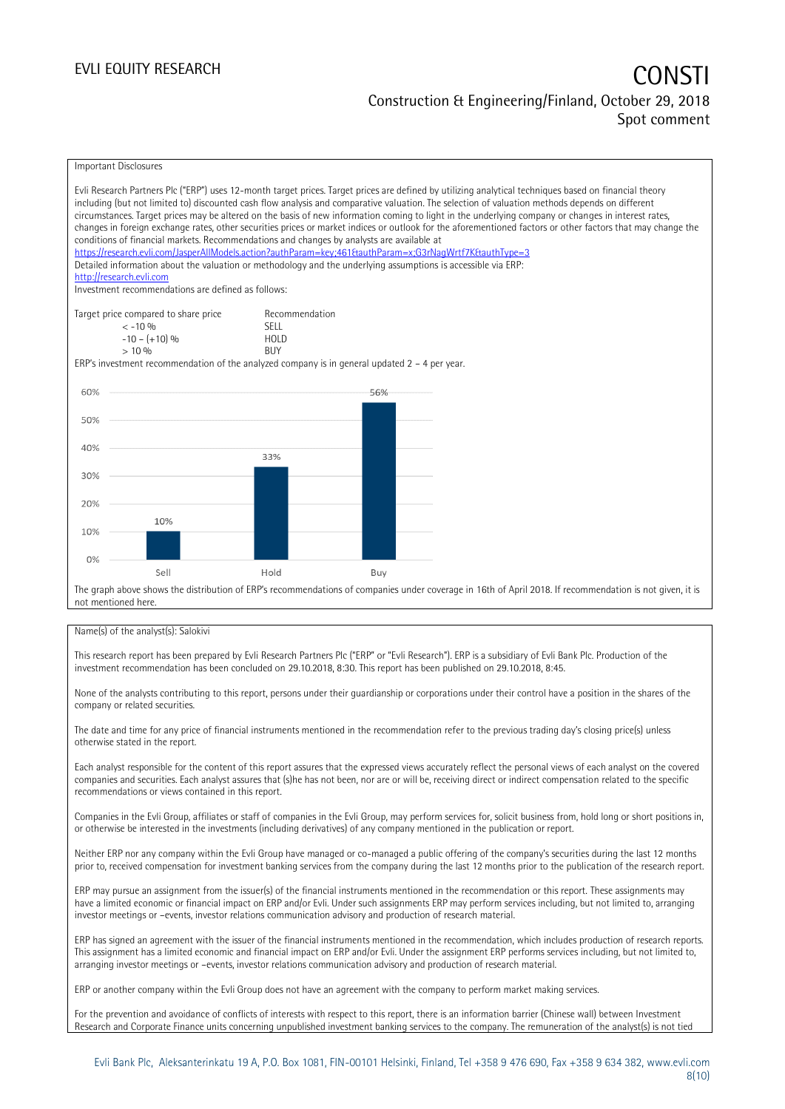### EVLI EQUITY RESEARCH CONSTITUTE OF THE CONSTITUTE OF THE CONSTITUTE OF THE CONSTITUTE OF THE CONSTITUTE OF THE CONSTITUTE OF THE CONSTITUTE OF THE CONSTITUTE OF THE CONSTITUTE OF THE CONSTITUTE OF THE CONSTITUTE OF THE CON Construction & Engineering/Finland, October 29, 2018 Spot comment

#### Important Disclosures

|                                                                                                                                                                                                                                                          |                               | Evli Research Partners Plc ("ERP") uses 12-month target prices. Target prices are defined by utilizing analytical techniques based on financial theory   |  |  |  |  |
|----------------------------------------------------------------------------------------------------------------------------------------------------------------------------------------------------------------------------------------------------------|-------------------------------|----------------------------------------------------------------------------------------------------------------------------------------------------------|--|--|--|--|
| including (but not limited to) discounted cash flow analysis and comparative valuation. The selection of valuation methods depends on different                                                                                                          |                               |                                                                                                                                                          |  |  |  |  |
| circumstances. Target prices may be altered on the basis of new information coming to light in the underlying company or changes in interest rates,                                                                                                      |                               |                                                                                                                                                          |  |  |  |  |
| changes in foreign exchange rates, other securities prices or market indices or outlook for the aforementioned factors or other factors that may change the<br>conditions of financial markets. Recommendations and changes by analysts are available at |                               |                                                                                                                                                          |  |  |  |  |
|                                                                                                                                                                                                                                                          |                               | https://research.evli.com/JasperAllModels.action?authParam=key;461&tauthParam=x;G3rNaqWrtf7K&tauthType=3                                                 |  |  |  |  |
|                                                                                                                                                                                                                                                          |                               | Detailed information about the valuation or methodology and the underlying assumptions is accessible via ERP:                                            |  |  |  |  |
| http://research.evli.com                                                                                                                                                                                                                                 |                               |                                                                                                                                                          |  |  |  |  |
| Investment recommendations are defined as follows:                                                                                                                                                                                                       |                               |                                                                                                                                                          |  |  |  |  |
|                                                                                                                                                                                                                                                          |                               |                                                                                                                                                          |  |  |  |  |
| Target price compared to share price<br>$<-10.96$                                                                                                                                                                                                        | Recommendation<br><b>SFII</b> |                                                                                                                                                          |  |  |  |  |
| $-10 - (+10)$ %                                                                                                                                                                                                                                          | <b>HOLD</b>                   |                                                                                                                                                          |  |  |  |  |
| $> 10\%$                                                                                                                                                                                                                                                 | <b>BUY</b>                    |                                                                                                                                                          |  |  |  |  |
| ERP's investment recommendation of the analyzed company is in general updated $2 - 4$ per year.                                                                                                                                                          |                               |                                                                                                                                                          |  |  |  |  |
|                                                                                                                                                                                                                                                          |                               |                                                                                                                                                          |  |  |  |  |
| 60%                                                                                                                                                                                                                                                      |                               | 56%                                                                                                                                                      |  |  |  |  |
|                                                                                                                                                                                                                                                          |                               |                                                                                                                                                          |  |  |  |  |
| 50%                                                                                                                                                                                                                                                      |                               |                                                                                                                                                          |  |  |  |  |
|                                                                                                                                                                                                                                                          |                               |                                                                                                                                                          |  |  |  |  |
| 40%                                                                                                                                                                                                                                                      |                               |                                                                                                                                                          |  |  |  |  |
|                                                                                                                                                                                                                                                          | 33%                           |                                                                                                                                                          |  |  |  |  |
| 30%                                                                                                                                                                                                                                                      |                               |                                                                                                                                                          |  |  |  |  |
|                                                                                                                                                                                                                                                          |                               |                                                                                                                                                          |  |  |  |  |
| 20%                                                                                                                                                                                                                                                      |                               |                                                                                                                                                          |  |  |  |  |
|                                                                                                                                                                                                                                                          |                               |                                                                                                                                                          |  |  |  |  |
| 10%<br>10%                                                                                                                                                                                                                                               |                               |                                                                                                                                                          |  |  |  |  |
|                                                                                                                                                                                                                                                          |                               |                                                                                                                                                          |  |  |  |  |
|                                                                                                                                                                                                                                                          |                               |                                                                                                                                                          |  |  |  |  |
| 0%<br>Sell                                                                                                                                                                                                                                               | Hold                          |                                                                                                                                                          |  |  |  |  |
|                                                                                                                                                                                                                                                          |                               | Buy                                                                                                                                                      |  |  |  |  |
|                                                                                                                                                                                                                                                          |                               | The graph above shows the distribution of ERP's recommendations of companies under coverage in 16th of April 2018. If recommendation is not given, it is |  |  |  |  |
| not mentioned here                                                                                                                                                                                                                                       |                               |                                                                                                                                                          |  |  |  |  |

#### Name(s) of the analyst(s): Salokivi

This research report has been prepared by Evli Research Partners Plc ("ERP" or "Evli Research"). ERP is a subsidiary of Evli Bank Plc. Production of the investment recommendation has been concluded on 29.10.2018, 8:30. This report has been published on 29.10.2018, 8:45.

None of the analysts contributing to this report, persons under their guardianship or corporations under their control have a position in the shares of the company or related securities.

The date and time for any price of financial instruments mentioned in the recommendation refer to the previous trading day's closing price(s) unless otherwise stated in the report.

Each analyst responsible for the content of this report assures that the expressed views accurately reflect the personal views of each analyst on the covered companies and securities. Each analyst assures that (s)he has not been, nor are or will be, receiving direct or indirect compensation related to the specific recommendations or views contained in this report.

Companies in the Evli Group, affiliates or staff of companies in the Evli Group, may perform services for, solicit business from, hold long or short positions in, or otherwise be interested in the investments (including derivatives) of any company mentioned in the publication or report.

Neither ERP nor any company within the Evli Group have managed or co-managed a public offering of the company's securities during the last 12 months prior to, received compensation for investment banking services from the company during the last 12 months prior to the publication of the research report.

ERP may pursue an assignment from the issuer(s) of the financial instruments mentioned in the recommendation or this report. These assignments may have a limited economic or financial impact on ERP and/or Evli. Under such assignments ERP may perform services including, but not limited to, arranging investor meetings or –events, investor relations communication advisory and production of research material.

ERP has signed an agreement with the issuer of the financial instruments mentioned in the recommendation, which includes production of research reports. This assignment has a limited economic and financial impact on ERP and/or Evli. Under the assignment ERP performs services including, but not limited to, arranging investor meetings or –events, investor relations communication advisory and production of research material.

ERP or another company within the Evli Group does not have an agreement with the company to perform market making services.

For the prevention and avoidance of conflicts of interests with respect to this report, there is an information barrier (Chinese wall) between Investment Research and Corporate Finance units concerning unpublished investment banking services to the company. The remuneration of the analyst(s) is not tied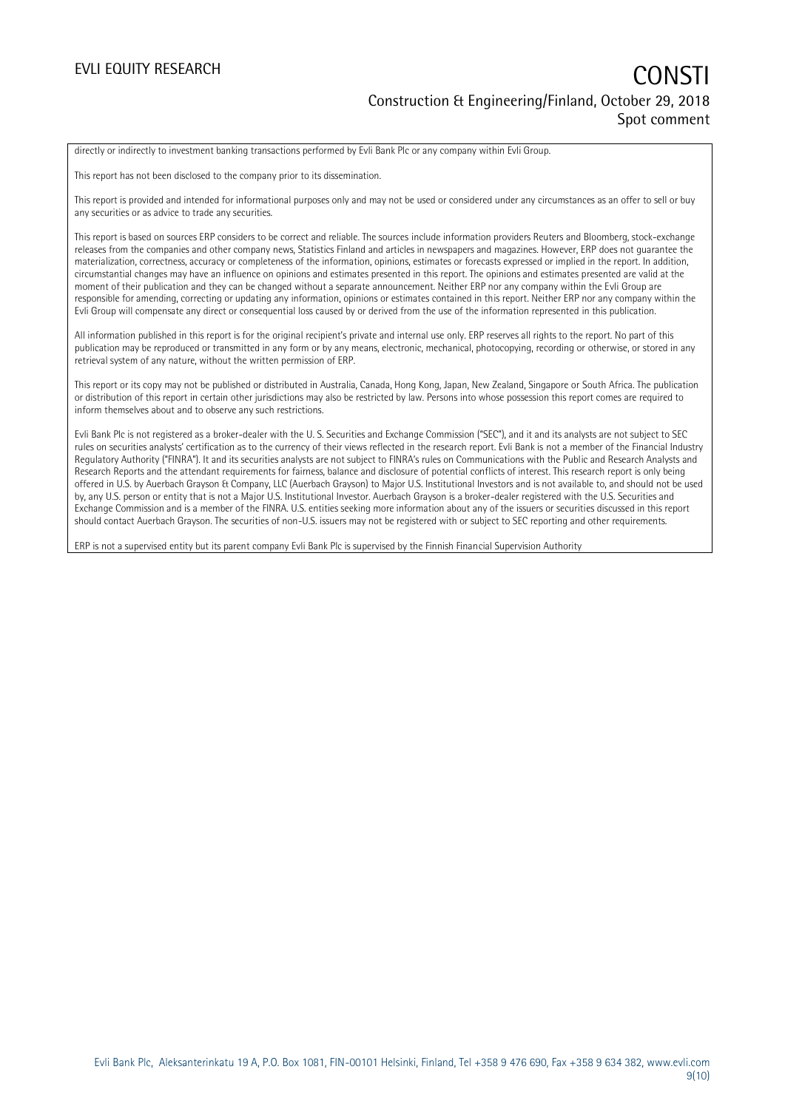### EVLI EQUITY RESEARCH CONSTITUTE OF THE CONSTITUTE OF THE CONSTITUTE OF THE CONSTITUTE OF THE CONSTITUTE OF THE CONSTITUTE OF THE CONSTITUTE OF THE CONSTITUTE OF THE CONSTITUTE OF THE CONSTITUTE OF THE CONSTITUTE OF THE CON Construction & Engineering/Finland, October 29, 2018 Spot comment

directly or indirectly to investment banking transactions performed by Evli Bank Plc or any company within Evli Group.

This report has not been disclosed to the company prior to its dissemination.

This report is provided and intended for informational purposes only and may not be used or considered under any circumstances as an offer to sell or buy any securities or as advice to trade any securities.

This report is based on sources ERP considers to be correct and reliable. The sources include information providers Reuters and Bloomberg, stock-exchange releases from the companies and other company news, Statistics Finland and articles in newspapers and magazines. However, ERP does not guarantee the materialization, correctness, accuracy or completeness of the information, opinions, estimates or forecasts expressed or implied in the report. In addition, circumstantial changes may have an influence on opinions and estimates presented in this report. The opinions and estimates presented are valid at the moment of their publication and they can be changed without a separate announcement. Neither ERP nor any company within the Evli Group are responsible for amending, correcting or updating any information, opinions or estimates contained in this report. Neither ERP nor any company within the Evli Group will compensate any direct or consequential loss caused by or derived from the use of the information represented in this publication.

All information published in this report is for the original recipient's private and internal use only. ERP reserves all rights to the report. No part of this publication may be reproduced or transmitted in any form or by any means, electronic, mechanical, photocopying, recording or otherwise, or stored in any retrieval system of any nature, without the written permission of ERP.

This report or its copy may not be published or distributed in Australia, Canada, Hong Kong, Japan, New Zealand, Singapore or South Africa. The publication or distribution of this report in certain other jurisdictions may also be restricted by law. Persons into whose possession this report comes are required to inform themselves about and to observe any such restrictions.

Evli Bank Plc is not registered as a broker-dealer with the U. S. Securities and Exchange Commission ("SEC"), and it and its analysts are not subject to SEC rules on securities analysts' certification as to the currency of their views reflected in the research report. Evli Bank is not a member of the Financial Industry Regulatory Authority ("FINRA"). It and its securities analysts are not subject to FINRA's rules on Communications with the Public and Research Analysts and Research Reports and the attendant requirements for fairness, balance and disclosure of potential conflicts of interest. This research report is only being offered in U.S. by Auerbach Grayson & Company, LLC (Auerbach Grayson) to Major U.S. Institutional Investors and is not available to, and should not be used by, any U.S. person or entity that is not a Major U.S. Institutional Investor. Auerbach Grayson is a broker-dealer registered with the U.S. Securities and Exchange Commission and is a member of the FINRA. U.S. entities seeking more information about any of the issuers or securities discussed in this report should contact Auerbach Grayson. The securities of non-U.S. issuers may not be registered with or subject to SEC reporting and other requirements.

ERP is not a supervised entity but its parent company Evli Bank Plc is supervised by the Finnish Financial Supervision Authority